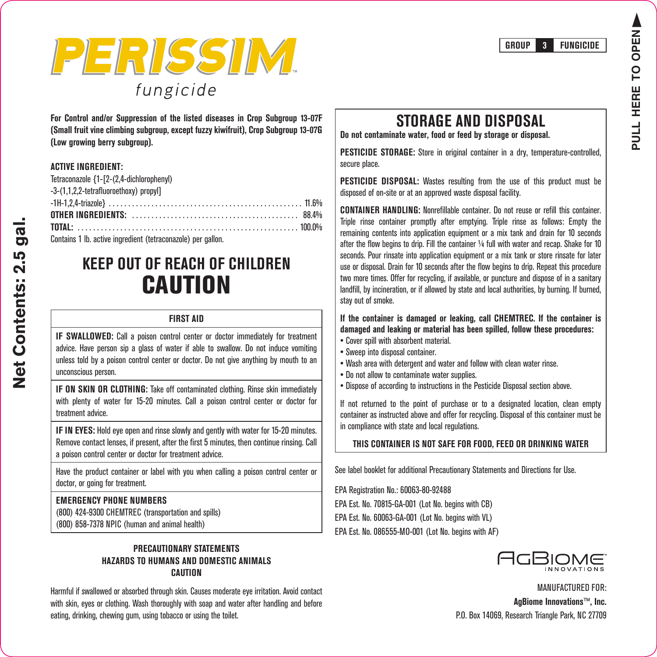



For Control and/or Suppression of the listed diseases in Crop Subproup 13-07F (Small fruit vine climbing subgroup, except fuzzy kiwifruit), Crop Subgroup 13-07G (Low arowina berry subaroup).

### **ACTIVE INGREDIENT:**

| Tetraconazole {1-[2-(2,4-dichlorophenyl) |  |
|------------------------------------------|--|
| -3-(1.1.2.2-tetrafluoroethoxy) propyl]   |  |
|                                          |  |
|                                          |  |
|                                          |  |
|                                          |  |

Contains 1 lb. active ingredient (tetraconazole) per gallon.

# **KFFP OUT OF REACH OF CHILDREN CAUTION**

### **FIRST AID**

IF SWALLOWED: Call a poison control center or doctor immediately for treatment advice. Have person sip a glass of water if able to swallow. Do not induce vomiting unless told by a poison control center or doctor. Do not give anything by mouth to an unconscious person.

**IF ON SKIN OR CLOTHING:** Take off contaminated clothing. Rinse skin immediately with plenty of water for 15-20 minutes. Call a poison control center or doctor for enivhe treatment

IF IN EYES: Hold eve open and rinse slowly and gently with water for 15-20 minutes. Remove contact lenses, if present, after the first 5 minutes, then continue rinsing. Call a poison control center or doctor for treatment advice.

Have the product container or label with you when calling a poison control center or doctor, or going for treatment.

### **FMFRGFNCY PHONE NUMBERS**

(800) 424-9300 CHEMTREC (transportation and spills) (800) 858-7378 NPIC (human and animal health)

### **PRECAUTIONARY STATEMENTS** HAZARDS TO HUMANS AND DOMESTIC ANIMALS **CALITION**

Harmful if swallowed or absorbed through skin. Causes moderate eve irritation. Avoid contact with skin, eves or clothing. Wash thoroughly with soan and water after handling and before eating, drinking, chewing gum, using tobacco or using the toilet.

# **STORAGE AND DISPOSAL**

Do not contaminate water, food or feed by storage or disposal.

**PESTICIDE STORAGE:** Store in original container in a drv. temperature-controlled. secure place.

**PESTICIDE DISPOSAL:** Wastes resulting from the use of this product must be disposed of on-site or at an approved waste disposal facility.

**CONTAINER HANDLING:** Nonrefillable container. Do not reuse or refill this container. Triple rinse container promptly after emptying. Triple rinse as follows: Empty the remaining contents into application equipment or a mix tank and drain for 10 seconds after the flow begins to drip. Fill the container 1/4 full with water and recap. Shake for 10 seconds. Pour rinsate into application equipment or a mix tank or store rinsate for later use or disposal. Drain for 10 seconds after the flow begins to drip. Repeat this procedure two more times. Offer for recycling, if available, or puncture and dispose of in a sanitary landfill, by incineration, or if allowed by state and local authorities, by burning. If burned, stay out of smoke.

### If the container is damaged or leaking, call CHEMTREC. If the container is damaged and leaking or material has been spilled, follow these procedures:

- Cover spill with absorbent material.
- Sweep into disposal container.
- . Wash area with detergent and water and follow with clean water rinse.
- . Do not allow to contaminate water supplies.
- . Dispose of according to instructions in the Pesticide Disposal section above.

If not returned to the point of purchase or to a designated location, clean empty container as instructed above and offer for recycling. Disposal of this container must be in compliance with state and local regulations.

### THIS CONTAINER IS NOT SAFE FOR FOOD, FEED OR DRINKING WATER

See label booklet for additional Precautionary Statements and Directions for Use.

EPA Registration No.: 60063-80-92488

EPA Est. No. 70815-GA-001 (Lot No. begins with CB)

EPA Est. No. 60063-GA-001 (Lot No. begins with VL)

EPA Est. No. 086555-MO-001 (Lot No. begins with AF)



**MANUFACTURED FOR:** AgBiome Innovations™, Inc. P.O. Box 14069, Research Triangle Park, NC 27709

# Net Contents: 2.5 gal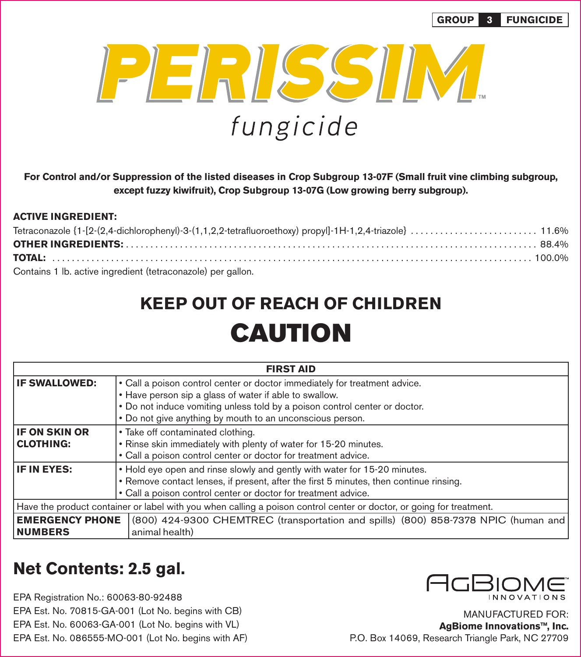

**For Control and/or Suppression of the listed diseases in Crop Subgroup 13-07F (Small fruit vine climbing subgroup, except fuzzy kiwifruit), Crop Subgroup 13-07G (Low growing berry subgroup).**

### **ACTIVE INGREDIENT:**

| Contains 1 lb. active ingredient (tetraconazole) per gallon. |  |
|--------------------------------------------------------------|--|

# **KEEP OUT OF REACH OF CHILDREN CAUTION**

| <b>FIRST AID</b>                                                                                                     |                                                                                        |  |
|----------------------------------------------------------------------------------------------------------------------|----------------------------------------------------------------------------------------|--|
| <b>IF SWALLOWED:</b>                                                                                                 | • Call a poison control center or doctor immediately for treatment advice.             |  |
|                                                                                                                      | • Have person sip a glass of water if able to swallow.                                 |  |
|                                                                                                                      | . Do not induce vomiting unless told by a poison control center or doctor.             |  |
|                                                                                                                      | • Do not give anything by mouth to an unconscious person.                              |  |
| <b>IF ON SKIN OR</b>                                                                                                 | • Take off contaminated clothing.                                                      |  |
| <b>CLOTHING:</b>                                                                                                     | . Rinse skin immediately with plenty of water for 15-20 minutes.                       |  |
|                                                                                                                      | • Call a poison control center or doctor for treatment advice.                         |  |
| IF IN EYES:                                                                                                          | • Hold eye open and rinse slowly and gently with water for 15-20 minutes.              |  |
|                                                                                                                      | • Remove contact lenses, if present, after the first 5 minutes, then continue rinsing. |  |
|                                                                                                                      | • Call a poison control center or doctor for treatment advice.                         |  |
| Have the product container or label with you when calling a poison control center or doctor, or going for treatment. |                                                                                        |  |
| <b>EMERGENCY PHONE</b>                                                                                               | (800) 424-9300 CHEMTREC (transportation and spills) (800) 858-7378 NPIC (human and     |  |
| <b>NUMBERS</b>                                                                                                       | animal health)                                                                         |  |

# **Net Contents: 2.5 gal.**

EPA Registration No.: 60063-80-92488 EPA Est. No. 70815-GA-001 (Lot No. begins with CB) EPA Est. No. 60063-GA-001 (Lot No. begins with VL) EPA Est. No. 086555-MO-001 (Lot No. begins with AF)



MANUFACTURED FOR: **AgBiome Innovations™, Inc.** P.O. Box 14069, Research Triangle Park, NC 27709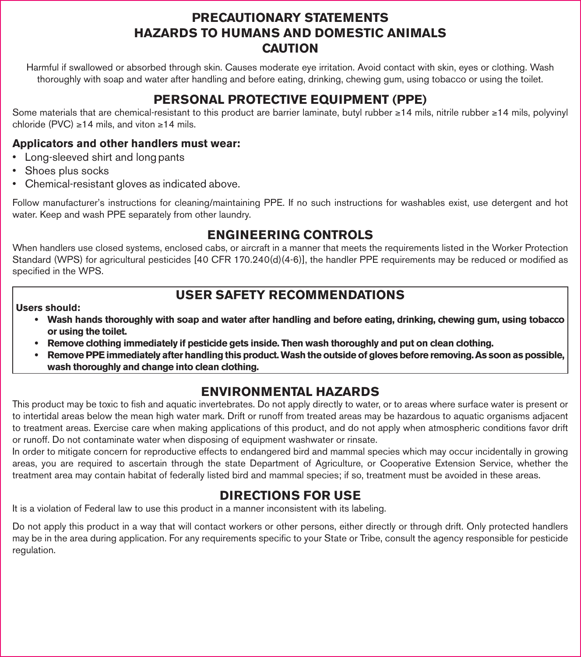# **PRECAUTIONARY STATEMENTS HAZARDS TO HUMANS AND DOMESTIC ANIMALS CAUTION**

Harmful if swallowed or absorbed through skin. Causes moderate eye irritation. Avoid contact with skin, eyes or clothing. Wash thoroughly with soap and water after handling and before eating, drinking, chewing gum, using tobacco or using the toilet.

# **PERSONAL PROTECTIVE EQUIPMENT (PPE)**

Some materials that are chemical-resistant to this product are barrier laminate, butyl rubber ≥14 mils, nitrile rubber ≥14 mils, polyvinyl chloride (PVC) ≥14 mils, and viton ≥14 mils.

### **Applicators and other handlers must wear:**

- Long-sleeved shirt and long pants
- Shoes plus socks
- Chemical-resistant gloves as indicated above.

Follow manufacturer's instructions for cleaning/maintaining PPE. If no such instructions for washables exist, use detergent and hot water. Keep and wash PPE separately from other laundry.

# **ENGINEERING CONTROLS**

When handlers use closed systems, enclosed cabs, or aircraft in a manner that meets the requirements listed in the Worker Protection Standard (WPS) for agricultural pesticides [40 CFR 170.240(d)(4-6)], the handler PPE requirements may be reduced or modified as specified in the WPS.

# **USER SAFETY RECOMMENDATIONS**

### **Users should:**

- **Wash hands thoroughly with soap and water after handling and before eating, drinking, chewing gum, using tobacco or using the toilet.**
- **Remove clothing immediately if pesticide gets inside. Then wash thoroughly and put on clean clothing.**
- **Remove PPE immediately after handling this product. Wash the outside of gloves before removing. As soon as possible, wash thoroughly and change into clean clothing.**

# **ENVIRONMENTAL HAZARDS**

This product may be toxic to fish and aquatic invertebrates. Do not apply directly to water, or to areas where surface water is present or to intertidal areas below the mean high water mark. Drift or runoff from treated areas may be hazardous to aquatic organisms adjacent to treatment areas. Exercise care when making applications of this product, and do not apply when atmospheric conditions favor drift or runoff. Do not contaminate water when disposing of equipment washwater or rinsate.

In order to mitigate concern for reproductive effects to endangered bird and mammal species which may occur incidentally in growing areas, you are required to ascertain through the state Department of Agriculture, or Cooperative Extension Service, whether the treatment area may contain habitat of federally listed bird and mammal species; if so, treatment must be avoided in these areas.

# **DIRECTIONS FOR USE**

It is a violation of Federal law to use this product in a manner inconsistent with its labeling.

Do not apply this product in a way that will contact workers or other persons, either directly or through drift. Only protected handlers may be in the area during application. For any requirements specific to your State or Tribe, consult the agency responsible for pesticide regulation.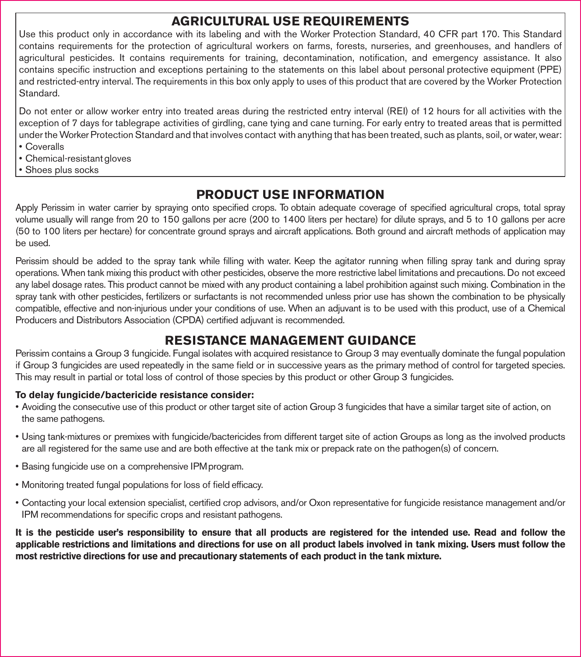# **AGRICULTURAL USE REQUIREMENTS**

Use this product only in accordance with its labeling and with the Worker Protection Standard, 40 CFR part 170. This Standard contains requirements for the protection of agricultural workers on farms, forests, nurseries, and greenhouses, and handlers of agricultural pesticides. It contains requirements for training, decontamination, notification, and emergency assistance. It also contains specific instruction and exceptions pertaining to the statements on this label about personal protective equipment (PPE) and restricted-entry interval. The requirements in this box only apply to uses of this product that are covered by the Worker Protection Standard.

Do not enter or allow worker entry into treated areas during the restricted entry interval (REI) of 12 hours for all activities with the exception of 7 days for tablegrape activities of girdling, cane tying and cane turning. For early entry to treated areas that is permitted under the Worker Protection Standard and that involves contact with anything that has been treated, such as plants, soil, or water, wear:

- Coveralls
- Chemical-resistant gloves
- Shoes plus socks

# **PRODUCT USE INFORMATION**

Apply Perissim in water carrier by spraying onto specified crops. To obtain adequate coverage of specified agricultural crops, total spray volume usually will range from 20 to 150 gallons per acre (200 to 1400 liters per hectare) for dilute sprays, and 5 to 10 gallons per acre (50 to 100 liters per hectare) for concentrate ground sprays and aircraft applications. Both ground and aircraft methods of application may be used.

Perissim should be added to the spray tank while filling with water. Keep the agitator running when filling spray tank and during spray operations. When tank mixing this product with other pesticides, observe the more restrictive label limitations and precautions. Do not exceed any label dosage rates. This product cannot be mixed with any product containing a label prohibition against such mixing. Combination in the spray tank with other pesticides, fertilizers or surfactants is not recommended unless prior use has shown the combination to be physically compatible, effective and non-injurious under your conditions of use. When an adjuvant is to be used with this product, use of a Chemical Producers and Distributors Association (CPDA) certified adjuvant is recommended.

# **RESISTANCE MANAGEMENT GUIDANCE**

Perissim contains a Group 3 fungicide. Fungal isolates with acquired resistance to Group 3 may eventually dominate the fungal population if Group 3 fungicides are used repeatedly in the same field or in successive years as the primary method of control for targeted species. This may result in partial or total loss of control of those species by this product or other Group 3 fungicides.

### **To delay fungicide/bactericide resistance consider:**

- Avoiding the consecutive use of this product or other target site of action Group 3 fungicides that have a similar target site of action, on the same pathogens.
- Using tank-mixtures or premixes with fungicide/bactericides from different target site of action Groups as long as the involved products are all registered for the same use and are both effective at the tank mix or prepack rate on the pathogen(s) of concern.
- Basing fungicide use on a comprehensive IPM program.
- Monitoring treated fungal populations for loss of field efficacy.
- Contacting your local extension specialist, certified crop advisors, and/or Oxon representative for fungicide resistance management and/or IPM recommendations for specific crops and resistant pathogens.

**It is the pesticide user's responsibility to ensure that all products are registered for the intended use. Read and follow the applicable restrictions and limitations and directions for use on all product labels involved in tank mixing. Users must follow the most restrictive directions for use and precautionary statements of each product in the tank mixture.**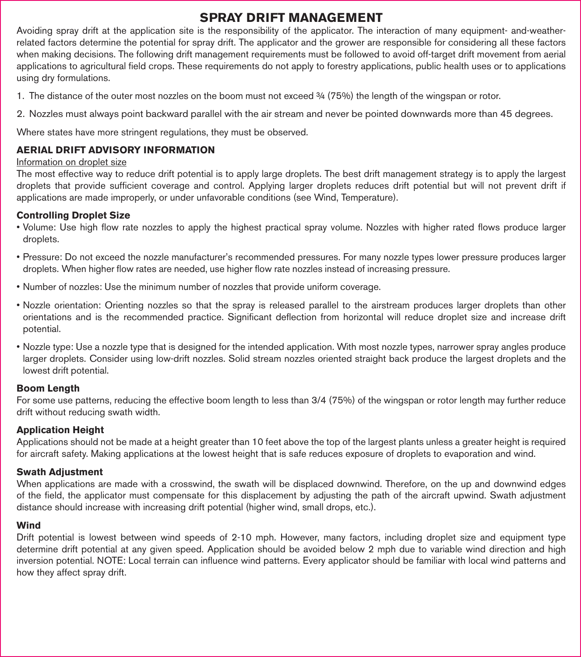# **SPRAY DRIFT MANAGEMENT**

Avoiding spray drift at the application site is the responsibility of the applicator. The interaction of many equipment- and-weatherrelated factors determine the potential for spray drift. The applicator and the grower are responsible for considering all these factors when making decisions. The following drift management requirements must be followed to avoid off-target drift movement from aerial applications to agricultural field crops. These requirements do not apply to forestry applications, public health uses or to applications using dry formulations.

- 1. The distance of the outer most nozzles on the boom must not exceed ¾ (75%) the length of the wingspan or rotor.
- 2. Nozzles must always point backward parallel with the air stream and never be pointed downwards more than 45 degrees.

Where states have more stringent regulations, they must be observed.

### **AERIAL DRIFT ADVISORY INFORMATION**

### Information on droplet size

The most effective way to reduce drift potential is to apply large droplets. The best drift management strategy is to apply the largest droplets that provide sufficient coverage and control. Applying larger droplets reduces drift potential but will not prevent drift if applications are made improperly, or under unfavorable conditions (see Wind, Temperature).

### **Controlling Droplet Size**

- Volume: Use high flow rate nozzles to apply the highest practical spray volume. Nozzles with higher rated flows produce larger droplets.
- Pressure: Do not exceed the nozzle manufacturer's recommended pressures. For many nozzle types lower pressure produces larger droplets. When higher flow rates are needed, use higher flow rate nozzles instead of increasing pressure.
- Number of nozzles: Use the minimum number of nozzles that provide uniform coverage.
- Nozzle orientation: Orienting nozzles so that the spray is released parallel to the airstream produces larger droplets than other orientations and is the recommended practice. Significant deflection from horizontal will reduce droplet size and increase drift potential.
- Nozzle type: Use a nozzle type that is designed for the intended application. With most nozzle types, narrower spray angles produce larger droplets. Consider using low-drift nozzles. Solid stream nozzles oriented straight back produce the largest droplets and the lowest drift potential.

### **Boom Length**

For some use patterns, reducing the effective boom length to less than 3/4 (75%) of the wingspan or rotor length may further reduce drift without reducing swath width.

### **Application Height**

Applications should not be made at a height greater than 10 feet above the top of the largest plants unless a greater height is required for aircraft safety. Making applications at the lowest height that is safe reduces exposure of droplets to evaporation and wind.

### **Swath Adjustment**

When applications are made with a crosswind, the swath will be displaced downwind. Therefore, on the up and downwind edges of the fi eld, the applicator must compensate for this displacement by adjusting the path of the aircraft upwind. Swath adjustment distance should increase with increasing drift potential (higher wind, small drops, etc.).

### **Wind**

Drift potential is lowest between wind speeds of 2-10 mph. However, many factors, including droplet size and equipment type determine drift potential at any given speed. Application should be avoided below 2 mph due to variable wind direction and high inversion potential. NOTE: Local terrain can influence wind patterns. Every applicator should be familiar with local wind patterns and how they affect spray drift.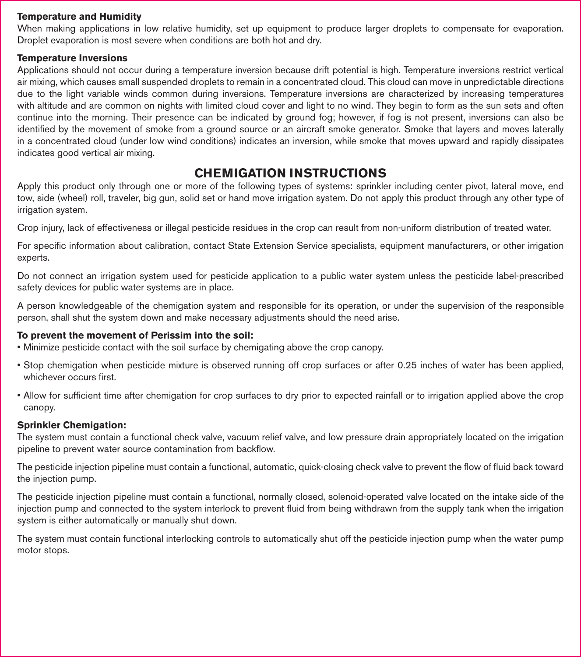### **Temperature and Humidity**

When making applications in low relative humidity, set up equipment to produce larger droplets to compensate for evaporation. Droplet evaporation is most severe when conditions are both hot and dry.

### **Temperature Inversions**

Applications should not occur during a temperature inversion because drift potential is high. Temperature inversions restrict vertical air mixing, which causes small suspended droplets to remain in a concentrated cloud. This cloud can move in unpredictable directions due to the light variable winds common during inversions. Temperature inversions are characterized by increasing temperatures with altitude and are common on nights with limited cloud cover and light to no wind. They begin to form as the sun sets and often continue into the morning. Their presence can be indicated by ground fog; however, if fog is not present, inversions can also be identified by the movement of smoke from a ground source or an aircraft smoke generator. Smoke that layers and moves laterally in a concentrated cloud (under low wind conditions) indicates an inversion, while smoke that moves upward and rapidly dissipates indicates good vertical air mixing.

# **CHEMIGATION INSTRUCTIONS**

Apply this product only through one or more of the following types of systems: sprinkler including center pivot, lateral move, end tow, side (wheel) roll, traveler, big gun, solid set or hand move irrigation system. Do not apply this product through any other type of irrigation system.

Crop injury, lack of effectiveness or illegal pesticide residues in the crop can result from non-uniform distribution of treated water.

For specific information about calibration, contact State Extension Service specialists, equipment manufacturers, or other irrigation experts.

Do not connect an irrigation system used for pesticide application to a public water system unless the pesticide label-prescribed safety devices for public water systems are in place.

A person knowledgeable of the chemigation system and responsible for its operation, or under the supervision of the responsible person, shall shut the system down and make necessary adjustments should the need arise.

### **To prevent the movement of Perissim into the soil:**

- Minimize pesticide contact with the soil surface by chemigating above the crop canopy.
- Stop chemigation when pesticide mixture is observed running off crop surfaces or after 0.25 inches of water has been applied, whichever occurs first.
- Allow for sufficient time after chemigation for crop surfaces to dry prior to expected rainfall or to irrigation applied above the crop canopy.

### **Sprinkler Chemigation:**

The system must contain a functional check valve, vacuum relief valve, and low pressure drain appropriately located on the irrigation pipeline to prevent water source contamination from backflow.

The pesticide injection pipeline must contain a functional, automatic, quick-closing check valve to prevent the flow of fluid back toward the injection pump.

The pesticide injection pipeline must contain a functional, normally closed, solenoid-operated valve located on the intake side of the injection pump and connected to the system interlock to prevent fluid from being withdrawn from the supply tank when the irrigation system is either automatically or manually shut down.

The system must contain functional interlocking controls to automatically shut off the pesticide injection pump when the water pump motor stops.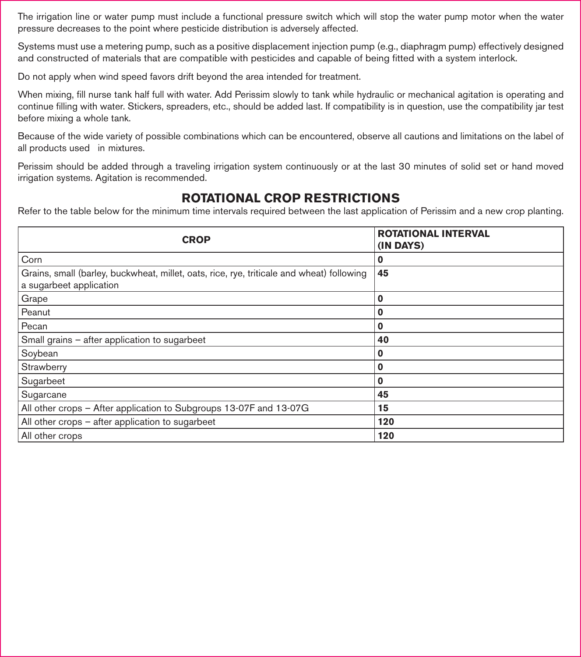The irrigation line or water pump must include a functional pressure switch which will stop the water pump motor when the water pressure decreases to the point where pesticide distribution is adversely affected.

Systems must use a metering pump, such as a positive displacement injection pump (e.g., diaphragm pump) effectively designed and constructed of materials that are compatible with pesticides and capable of being fitted with a system interlock.

Do not apply when wind speed favors drift beyond the area intended for treatment.

When mixing, fill nurse tank half full with water. Add Perissim slowly to tank while hydraulic or mechanical agitation is operating and continue filling with water. Stickers, spreaders, etc., should be added last. If compatibility is in question, use the compatibility jar test before mixing a whole tank.

Because of the wide variety of possible combinations which can be encountered, observe all cautions and limitations on the label of all products used in mixtures.

Perissim should be added through a traveling irrigation system continuously or at the last 30 minutes of solid set or hand moved irrigation systems. Agitation is recommended.

# **ROTATIONAL CROP RESTRICTIONS**

Refer to the table below for the minimum time intervals required between the last application of Perissim and a new crop planting.

| <b>CROP</b>                                                                                                          | <b>ROTATIONAL INTERVAL</b><br>(IN DAYS) |
|----------------------------------------------------------------------------------------------------------------------|-----------------------------------------|
| Corn                                                                                                                 | 0                                       |
| Grains, small (barley, buckwheat, millet, oats, rice, rye, triticale and wheat) following<br>a sugarbeet application | 45                                      |
| Grape                                                                                                                | Ω                                       |
| Peanut                                                                                                               | 0                                       |
| Pecan                                                                                                                | 0                                       |
| Small grains - after application to sugarbeet                                                                        | 40                                      |
| Soybean                                                                                                              | 0                                       |
| Strawberry                                                                                                           | 0                                       |
| Sugarbeet                                                                                                            | 0                                       |
| Sugarcane                                                                                                            | 45                                      |
| All other crops - After application to Subgroups 13-07F and 13-07G                                                   | 15                                      |
| All other crops – after application to sugarbeet                                                                     | 120                                     |
| All other crops                                                                                                      | 120                                     |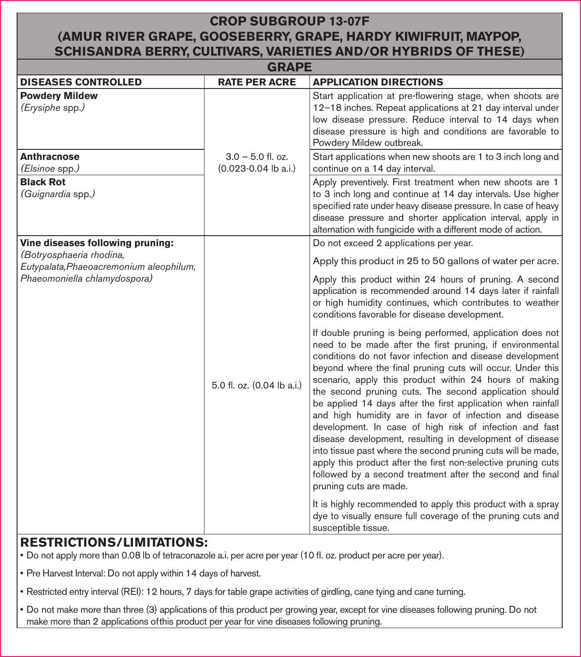# **CROP SUBGROUP 13-07F (AMUR RIVER GRAPE, GOOSEBERRY, GRAPE, HARDY KIWIFRUIT, MAYPOP, SCHISANDRA BERRY, CULTIVARS, VARIETIES AND/OR HYBRIDS OF THESE)**

| <b>GRAPE</b>                                                        |                                                 |                                                                                                                                                                                                                                                                                                                                                                                                                                                                                                                                                                                                                                                                                                                                                                                                                                                  |
|---------------------------------------------------------------------|-------------------------------------------------|--------------------------------------------------------------------------------------------------------------------------------------------------------------------------------------------------------------------------------------------------------------------------------------------------------------------------------------------------------------------------------------------------------------------------------------------------------------------------------------------------------------------------------------------------------------------------------------------------------------------------------------------------------------------------------------------------------------------------------------------------------------------------------------------------------------------------------------------------|
| <b>DISEASES CONTROLLED</b>                                          | <b>RATE PER ACRE</b>                            | <b>APPLICATION DIRECTIONS</b>                                                                                                                                                                                                                                                                                                                                                                                                                                                                                                                                                                                                                                                                                                                                                                                                                    |
| <b>Powdery Mildew</b><br>(Erysiphe spp.)                            |                                                 | Start application at pre-flowering stage, when shoots are<br>12-18 inches. Repeat applications at 21 day interval under<br>low disease pressure. Reduce interval to 14 days when<br>disease pressure is high and conditions are favorable to<br>Powdery Mildew outbreak.                                                                                                                                                                                                                                                                                                                                                                                                                                                                                                                                                                         |
| <b>Anthracnose</b><br>(Elsinoe spp.)                                | $3.0 - 5.0$ fl. oz.<br>$(0.023 - 0.04$ lb a.i.) | Start applications when new shoots are 1 to 3 inch long and<br>continue on a 14 day interval.                                                                                                                                                                                                                                                                                                                                                                                                                                                                                                                                                                                                                                                                                                                                                    |
| <b>Black Rot</b><br>(Guignardia spp.)                               |                                                 | Apply preventively. First treatment when new shoots are 1<br>to 3 inch long and continue at 14 day intervals. Use higher<br>specified rate under heavy disease pressure. In case of heavy<br>disease pressure and shorter application interval, apply in<br>alternation with fungicide with a different mode of action.                                                                                                                                                                                                                                                                                                                                                                                                                                                                                                                          |
| Vine diseases following pruning:                                    |                                                 | Do not exceed 2 applications per year.                                                                                                                                                                                                                                                                                                                                                                                                                                                                                                                                                                                                                                                                                                                                                                                                           |
| (Botryosphaeria rhodina,<br>Eutypalata, Phaeoacremonium aleophilum, |                                                 | Apply this product in 25 to 50 gallons of water per acre.                                                                                                                                                                                                                                                                                                                                                                                                                                                                                                                                                                                                                                                                                                                                                                                        |
| Phaeomoniella chlamydospora)                                        |                                                 | Apply this product within 24 hours of pruning. A second<br>application is recommended around 14 days later if rainfall<br>or high humidity continues, which contributes to weather<br>conditions favorable for disease development.                                                                                                                                                                                                                                                                                                                                                                                                                                                                                                                                                                                                              |
|                                                                     | 5.0 fl. oz. (0.04 lb a.i.)                      | If double pruning is being performed, application does not<br>need to be made after the first pruning, if environmental<br>conditions do not favor infection and disease development<br>beyond where the final pruning cuts will occur. Under this<br>scenario, apply this product within 24 hours of making<br>the second pruning cuts. The second application should<br>be applied 14 days after the first application when rainfall<br>and high humidity are in favor of infection and disease<br>development. In case of high risk of infection and fast<br>disease development, resulting in development of disease<br>into tissue past where the second pruning cuts will be made,<br>apply this product after the first non-selective pruning cuts<br>followed by a second treatment after the second and final<br>pruning cuts are made. |
|                                                                     |                                                 | It is highly recommended to apply this product with a spray<br>dye to visually ensure full coverage of the pruning cuts and<br>susceptible tissue.                                                                                                                                                                                                                                                                                                                                                                                                                                                                                                                                                                                                                                                                                               |

# **RESTRICTIONS/LIMITATIONS:**

- Do not apply more than 0.08 lb of tetraconazole a.i. per acre per year (10 fl . oz. product per acre per year).
- Pre Harvest Interval: Do not apply within 14 days of harvest.
- Restricted entry interval (REI): 12 hours, 7 days for table grape activities of girdling, cane tying and cane turning.
- Do not make more than three (3) applications of this product per growing year, except for vine diseases following pruning. Do not make more than 2 applications of this product per year for vine diseases following pruning.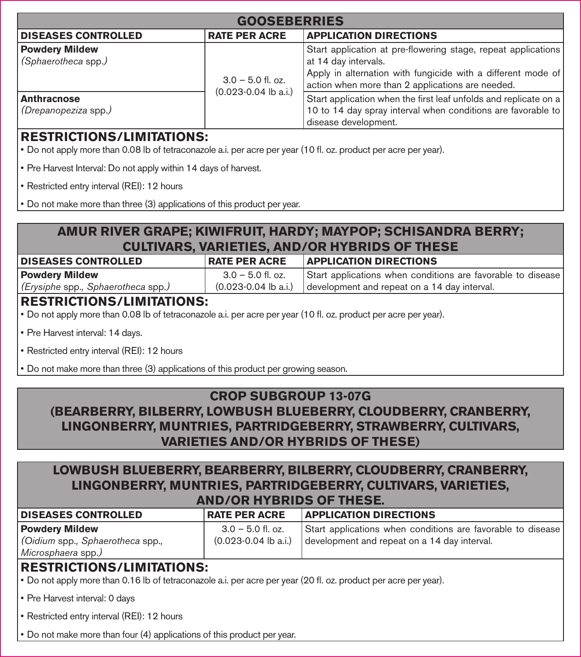| <b>GOOSEBERRIES</b>                          |                          |                                                                                                                                                                                                           |
|----------------------------------------------|--------------------------|-----------------------------------------------------------------------------------------------------------------------------------------------------------------------------------------------------------|
| <b>DISEASES CONTROLLED</b>                   | <b>RATE PER ACRE</b>     | <b>APPLICATION DIRECTIONS</b>                                                                                                                                                                             |
| <b>Powdery Mildew</b><br>(Sphaerotheca spp.) | $3.0 - 5.0$ fl. oz.      | Start application at pre-flowering stage, repeat applications<br>at 14 day intervals.<br>Apply in alternation with fungicide with a different mode of<br>action when more than 2 applications are needed. |
| Anthracnose<br>(Drepanopeziza spp.)          | $(0.023 - 0.04$ lb a.i.) | Start application when the first leaf unfolds and replicate on a<br>10 to 14 day spray interval when conditions are favorable to<br>disease development.                                                  |

# **RESTRICTIONS/LIMITATIONS:**

- Do not apply more than 0.08 lb of tetraconazole a.i. per acre per year (10 fl . oz. product per acre per year).
- Pre Harvest Interval: Do not apply within 14 days of harvest.
- Restricted entry interval (REI): 12 hours
- Do not make more than three (3) applications of this product per year.

# **AMUR RIVER GRAPE; KIWIFRUIT, HARDY; MAYPOP; SCHISANDRA BERRY; CULTIVARS, VARIETIES, AND/OR HYBRIDS OF THESE**

| <b>DISEASES CONTROLLED</b>         | <b>RATE PER ACRE</b> | <b>APPLICATION DIRECTIONS</b>                                       |  |
|------------------------------------|----------------------|---------------------------------------------------------------------|--|
| <b>Powdery Mildew</b>              | $3.0 - 5.0$ fl. oz.  | Start applications when conditions are favorable to disease         |  |
| (Erysiphe spp., Sphaerotheca spp.) |                      | $(0.023-0.04$ lb a.i.) development and repeat on a 14 day interval. |  |

# **RESTRICTIONS/LIMITATIONS:**

- Do not apply more than 0.08 lb of tetraconazole a.i. per acre per year (10 fl . oz. product per acre per year).
- Pre Harvest interval: 14 days.
- Restricted entry interval (REI): 12 hours
- Do not make more than three (3) applications of this product per growing season.

# **CROP SUBGROUP 13-07G (BEARBERRY, BILBERRY, LOWBUSH BLUEBERRY, CLOUDBERRY, CRANBERRY, LINGONBERRY, MUNTRIES, PARTRIDGEBERRY, STRAWBERRY, CULTIVARS, VARIETIES AND/OR HYBRIDS OF THESE)**

# **LOWBUSH BLUEBERRY, BEARBERRY, BILBERRY, CLOUDBERRY, CRANBERRY, LINGONBERRY, MUNTRIES, PARTRIDGEBERRY, CULTIVARS, VARIETIES,**

| <b>AND/OR HYBRIDS OF THESE.</b>                                                |                                                 |                                                                                                             |  |
|--------------------------------------------------------------------------------|-------------------------------------------------|-------------------------------------------------------------------------------------------------------------|--|
| <b>DISEASES CONTROLLED</b>                                                     | <b>RATE PER ACRE</b>                            | <b>APPLICATION DIRECTIONS</b>                                                                               |  |
| <b>Powdery Mildew</b><br>Gidium spp., Sphaerotheca spp.,<br>Microsphaera spp.) | $3.0 - 5.0$ fl. oz.<br>$(0.023 - 0.04$ lb a.i.) | Start applications when conditions are favorable to disease<br>development and repeat on a 14 day interval. |  |

# **RESTRICTIONS/LIMITATIONS:**

- Do not apply more than 0.16 lb of tetraconazole a.i. per acre per year (20 fl . oz. product per acre per year).
- Pre Harvest interval: 0 days
- Restricted entry interval (REI): 12 hours
- Do not make more than four (4) applications of this product per year.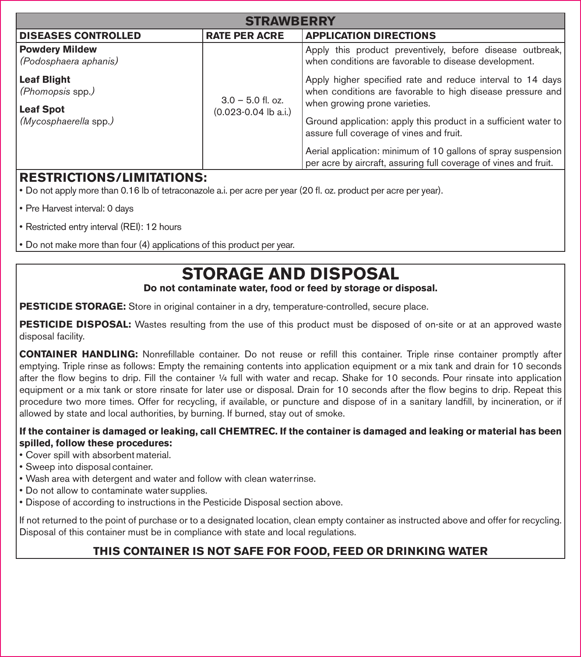| <b>STRAWRERRY</b>                              |                                                 |                                                                                                                                              |
|------------------------------------------------|-------------------------------------------------|----------------------------------------------------------------------------------------------------------------------------------------------|
| <b>DISEASES CONTROLLED</b>                     | <b>RATE PER ACRE</b>                            | <b>APPLICATION DIRECTIONS</b>                                                                                                                |
| <b>Powdery Mildew</b><br>(Podosphaera aphanis) | $3.0 - 5.0$ fl. oz.<br>$(0.023 - 0.04$ lb a.i.) | Apply this product preventively, before disease outbreak,<br>when conditions are favorable to disease development.                           |
| Leaf Blight<br>(Phomopsis spp.)                |                                                 | Apply higher specified rate and reduce interval to 14 days<br>when conditions are favorable to high disease pressure and                     |
| Leaf Spot<br>(Mycosphaerella spp.)             |                                                 | when growing prone varieties.<br>Ground application: apply this product in a sufficient water to<br>assure full coverage of vines and fruit. |
|                                                |                                                 | Aerial application: minimum of 10 gallons of spray suspension<br>per acre by aircraft, assuring full coverage of vines and fruit.            |

# **RESTRICTIONS/LIMITATIONS:**

• Do not apply more than 0.16 lb of tetraconazole a.i. per acre per year (20 fl . oz. product per acre per year).

- Pre Harvest interval: 0 days
- Restricted entry interval (REI): 12 hours

• Do not make more than four (4) applications of this product per year.

# **STORAGE AND DISPOSAL**

### **Do not contaminate water, food or feed by storage or disposal.**

**PESTICIDE STORAGE:** Store in original container in a dry, temperature-controlled, secure place.

**PESTICIDE DISPOSAL:** Wastes resulting from the use of this product must be disposed of on-site or at an approved waste disposal facility.

**CONTAINER HANDLING:** Nonrefillable container. Do not reuse or refill this container. Triple rinse container promptly after emptying. Triple rinse as follows: Empty the remaining contents into application equipment or a mix tank and drain for 10 seconds after the flow begins to drip. Fill the container ¼ full with water and recap. Shake for 10 seconds. Pour rinsate into application equipment or a mix tank or store rinsate for later use or disposal. Drain for 10 seconds after the flow begins to drip. Repeat this procedure two more times. Offer for recycling, if available, or puncture and dispose of in a sanitary landfill, by incineration, or if allowed by state and local authorities, by burning. If burned, stay out of smoke.

### **If the container is damaged or leaking, call CHEMTREC. If the container is damaged and leaking or material has been spilled, follow these procedures:**

- Cover spill with absorbent material.
- Sweep into disposal container.
- Wash area with detergent and water and follow with clean water rinse.
- Do not allow to contaminate water supplies.
- Dispose of according to instructions in the Pesticide Disposal section above.

If not returned to the point of purchase or to a designated location, clean empty container as instructed above and offer for recycling. Disposal of this container must be in compliance with state and local regulations.

# **THIS CONTAINER IS NOT SAFE FOR FOOD, FEED OR DRINKING WATER**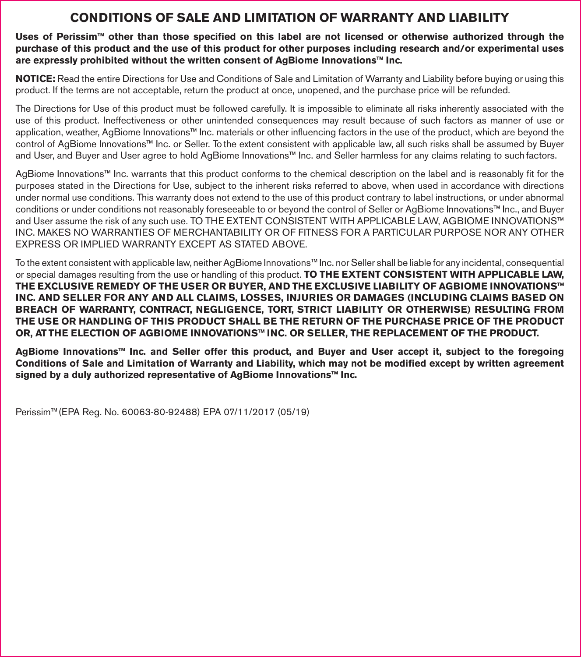# **CONDITIONS OF SALE AND LIMITATION OF WARRANTY AND LIABILITY**

Uses of Perissim<sup>™</sup> other than those specified on this label are not licensed or otherwise authorized through the **purchase of this product and the use of this product for other purposes including research and/or experimental uses are expressly prohibited without the written consent of AgBiome Innovations™ Inc.**

**NOTICE:** Read the entire Directions for Use and Conditions of Sale and Limitation of Warranty and Liability before buying or using this product. If the terms are not acceptable, return the product at once, unopened, and the purchase price will be refunded.

The Directions for Use of this product must be followed carefully. It is impossible to eliminate all risks inherently associated with the use of this product. Ineffectiveness or other unintended consequences may result because of such factors as manner of use or application, weather, AgBiome Innovations™ Inc. materials or other influencing factors in the use of the product, which are beyond the control of AgBiome Innovations™ Inc. or Seller. To the extent consistent with applicable law, all such risks shall be assumed by Buyer and User, and Buyer and User agree to hold AgBiome Innovations™ Inc. and Seller harmless for any claims relating to such factors.

AgBiome Innovations™ Inc. warrants that this product conforms to the chemical description on the label and is reasonably fit for the purposes stated in the Directions for Use, subject to the inherent risks referred to above, when used in accordance with directions under normal use conditions. This warranty does not extend to the use of this product contrary to label instructions, or under abnormal conditions or under conditions not reasonably foreseeable to or beyond the control of Seller or AgBiome Innovations™ Inc., and Buyer and User assume the risk of any such use. TO THE EXTENT CONSISTENT WITH APPLICABLE LAW, AGBIOME INNOVATIONS™ INC. MAKES NO WARRANTIES OF MERCHANTABILITY OR OF FITNESS FOR A PARTICULAR PURPOSE NOR ANY OTHER EXPRESS OR IMPLIED WARRANTY EXCEPT AS STATED ABOVE.

To the extent consistent with applicable law, neither AgBiome Innovations™ Inc. nor Seller shall be liable for any incidental, consequential or special damages resulting from the use or handling of this product. **TO THE EXTENT CONSISTENT WITH APPLICABLE LAW, THE EXCLUSIVE REMEDY OF THE USER OR BUYER, AND THE EXCLUSIVE LIABILITY OF AGBIOME INNOVATIONS™ INC. AND SELLER FOR ANY AND ALL CLAIMS, LOSSES, INJURIES OR DAMAGES (INCLUDING CLAIMS BASED ON BREACH OF WARRANTY, CONTRACT, NEGLIGENCE, TORT, STRICT LIABILITY OR OTHERWISE) RESULTING FROM THE USE OR HANDLING OF THIS PRODUCT SHALL BE THE RETURN OF THE PURCHASE PRICE OF THE PRODUCT OR, AT THE ELECTION OF AGBIOME INNOVATIONS™ INC. OR SELLER, THE REPLACEMENT OF THE PRODUCT.**

**AgBiome Innovations™ Inc. and Seller offer this product, and Buyer and User accept it, subject to the foregoing**  Conditions of Sale and Limitation of Warranty and Liability, which may not be modified except by written agreement **signed by a duly authorized representative of AgBiome Innovations™ Inc.**

Perissim™(EPA Reg. No. 60063-80-92488) EPA 07/11/2017 (05/19)